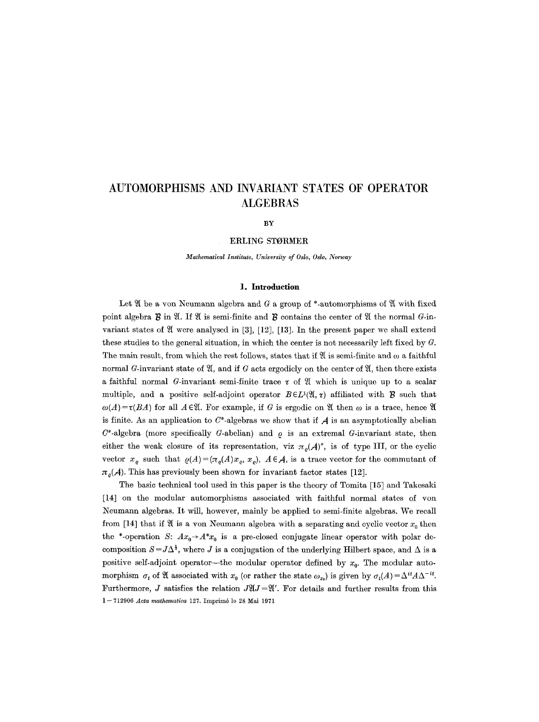# **AUTOMORPHISMS AND INVARIANT STATES OF OPERATOR ALGEBRAS**

## **BY**

## ERLING STORMER

*Mathematical Institute, University of Oslo, Oslo, Norway* 

## 1. **Introduction**

Let  $\mathfrak A$  be a yon Neumann algebra and G a group of \*-automorphisms of  $\mathfrak A$  with fixed point algebra  $\mathcal B$  in  $\mathfrak A$ . If  $\mathfrak A$  is semi-finite and  $\mathcal B$  contains the center of  $\mathfrak A$  the normal  $G$ -invariant states of  $\mathfrak A$  were analysed in [3], [12], [13]. In the present paper we shall extend these studies to the general situation, in which the center is not necessarily left fixed by  $G$ . The main result, from which the rest follows, states that if  $\mathfrak A$  is semi-finite and  $\omega$  a faithful normal G-invariant state of  $\mathfrak{A}$ , and if G acts ergodicly on the center of  $\mathfrak{A}$ , then there exists a faithful normal G-invariant semi-finite trace  $\tau$  of  $\mathfrak{A}$  which is unique up to a scalar multiple, and a positive self-adjoint operator  $B \in L^1(\mathfrak{A}, \tau)$  affiliated with **B** such that  $\omega(A) = \tau(BA)$  for all  $A \in \mathfrak{A}$ . For example, if G is ergodic on  $\mathfrak{A}$  then  $\omega$  is a trace, hence  $\mathfrak{A}$ is finite. As an application to  $C^*$ -algebras we show that if  $A$  is an asymptotically abelian  $C^*$ -algebra (more specifically G-abelian) and  $\rho$  is an extremal G-invariant state, then either the weak closure of its representation, viz  $\pi_o(A)$ , is of type III, or the cyclic vector  $x_e$  such that  $\varrho(A) = (\pi_e(A)x_e, x_e)$ ,  $A \in \mathcal{A}$ , is a trace vector for the commutant of  $\pi_{\rho}(\mathcal{A})$ . This has previously been shown for invariant factor states [12].

The basic technical tool used in this paper is the theory of Tomita [15] and Takesaki [14] on the modular automorphisms associated with faithful normal states of yon Neumann algebras. It will, however, mainly be applied to semi-finite algebras. We recall from [14] that if  $\mathfrak A$  is a yon Neumann algebra with a separating and cyclic vector  $x_0$  then the \*-operation S:  $Ax_0 \rightarrow A^*x_0$  is a pre-closed conjugate linear operator with polar decomposition  $S = J\Delta^{\frac{1}{2}}$ , where J is a conjugation of the underlying Hilbert space, and  $\Delta$  is a positive self-adjoint operator---the modular operator defined by  $x<sub>0</sub>$ . The modular automorphism  $\sigma_t$  of  $\mathfrak A$  associated with  $x_0$  (or rather the state  $\omega_{x_0}$ ) is given by  $\sigma_t(A) = \Delta^{it} A \Delta^{-it}$ . Furthermore, *J* satisfies the relation  $J\mathfrak{A}J=\mathfrak{A}'$ . For details and further results from this 1 -- 712906 *Acta mathematica* 127. Imprim6 lo 28 Mai 1971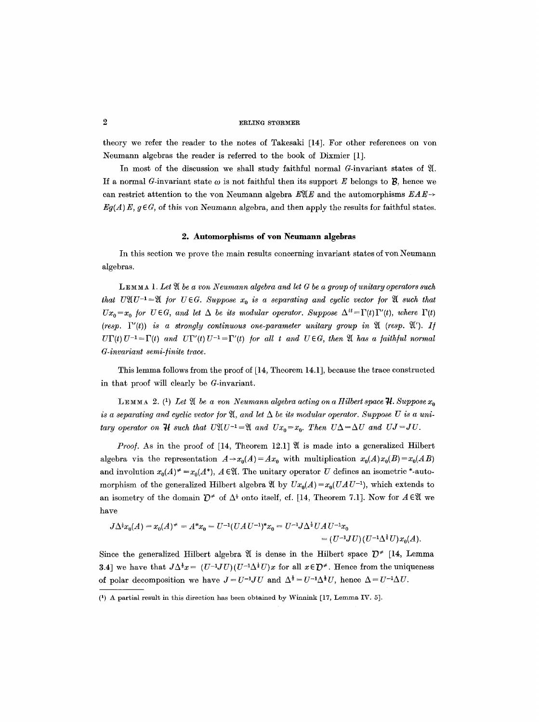# $2$  ERLING STØRMER

theory we refer the reader to the notes of Takesaki [14]. For other references on von Neumann algebras the reader is referred to the book of Dixmier [1].

In most of the discussion we shall study faithful normal  $G$ -invariant states of  $\mathfrak{A}$ . If a normal G-invariant state  $\omega$  is not faithful then its support E belongs to **B**, hence we can restrict attention to the von Neumann algebra  $E \mathfrak{X} E$  and the automorphisms  $E A E \rightarrow$  $Eq(A) E, q \in G$ , of this yon Neumann algebra, and then apply the results for faithful states.

# **2. Automorphisms of yon Neumann algebras**

In this section we prove the main results concerning invariant states of yon Neumann algebras.

LEMMA 1. Let  $\mathfrak A$  be a von Neumann algebra and let G be a group of unitary operators such *that UXU<sup>-1</sup>*=X *for U*  $\in$ *G. Suppose*  $x_0$  *is a separating and cyclic vector for* X *such that*  $Ux_0=x_0$  for  $U \in G$ , and let  $\Delta$  be its modular operator. Suppose  $\Delta^{it}=\Gamma(t)\Gamma'(t)$ , where  $\Gamma(t)$ *(resp.*  $\Gamma'(t)$ ) *is a strongly continuous one-parameter unitary group in*  $\mathfrak{A}$  *(resp.*  $\mathfrak{A}'$ *). If*  $U\Gamma(t) U^{-1} = \Gamma(t)$  and  $U\Gamma'(t) U^{-1} = \Gamma'(t)$  for all t and  $U \in G$ , then  $\mathfrak A$  has a faithful normal *G-invariant semi-/inite trace.* 

This lemma follows from the proof of [14, Theorem 14.1J, because the trace constructed in that proof will clearly be G-invariant.

**LEMMA** 2. <sup>(1</sup>) Let  $\mathfrak{A}$  be a von Neumann algebra acting on a Hilbert space  $\mathcal{H}$ . Suppose  $x_0$ *is a separating and cyclic vector for*  $\mathfrak{A}$ *, and let*  $\Delta$  *be its modular operator. Suppose U is a unitary operator on*  $\mathcal{H}$  *such that U* $\mathfrak{A}(U^{-1}=\mathfrak{A})$  *and*  $Ux_0=x_0$ *. Then*  $U\Delta = \Delta U$  *and*  $UJ=JU$ *.* 

*Proof.* As in the proof of [14, Theorem 12.1]  $\mathfrak A$  is made into a generalized Hilbert algebra via the representation  $A \rightarrow x_0(A) = Ax_0$  with multiplication  $x_0(A)x_0(B) = x_0(AB)$ and involution  $x_0(A)^* = x_0(A^*)$ ,  $A \in \mathfrak{A}$ . The unitary operator U defines an isometric \*-automorphism of the generalized Hilbert algebra  $\mathfrak{A}$  by  $Ux_0(A) = x_0(UAU^{-1})$ , which extends to an isometry of the domain  $\mathcal{D}^*$  of  $\Delta^*$  onto itself, cf. [14, Theorem 7.1]. Now for  $A \in \mathfrak{A}$  we have

$$
J\Delta^{\frac{1}{2}}x_0(A) = x_0(A)^* = A^*x_0 = U^{-1}(UAU^{-1})^*x_0 = U^{-1}J\Delta^{\frac{1}{2}}UAU^{-1}x_0
$$
  
=  $(U^{-1}JU)(U^{-1}\Delta^{\frac{1}{2}}U)x_0(A).$ 

Since the generalized Hilbert algebra  $\mathfrak A$  is dense in the Hilbert space  $\mathcal D^*$  [14, Lemma 3.4] we have that  $J\Delta^{\frac{1}{2}}x = (U^{-1}JU)(U^{-1}\Delta^{\frac{1}{2}}U)x$  for all  $x \in \mathcal{D}^*$ . Hence from the uniqueness of polar decomposition we have  $J = U^{-1}JU$  and  $\Delta^{\frac{1}{2}} = U^{-1}\Delta^{\frac{1}{2}}U$ , hence  $\Delta = U^{-1}\Delta U$ .

<sup>(1)</sup> A partial result in this direction has been obtained by Winnink [17, Lemma IV. 5].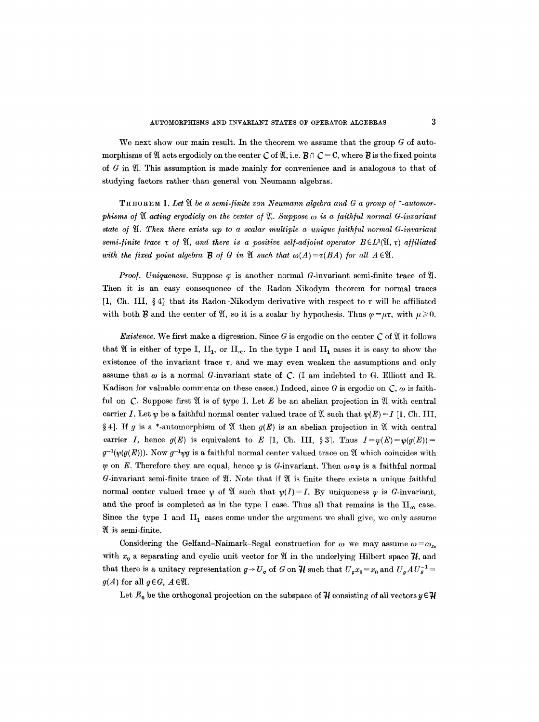We next show our main result. In the theorem we assume that the group  $G$  of automorphisms of  $\mathfrak A$  acts ergodicly on the center C of  $\mathfrak A$ , i.e.  $\mathcal B \cap \mathcal C = \mathbb C$ , where  $\mathcal B$  is the fixed points of  $G$  in  $\mathfrak{A}$ . This assumption is made mainly for convenience and is analogous to that of studying factors rather than general yon Neumann algebras.

THEOREM 1. Let  $\mathfrak A$  be a semi-finite von Neumann algebra and G a group of \*-automor*phisms of*  $\mathfrak A$  acting ergodicly on the center of  $\mathfrak A$ . Suppose  $\omega$  is a faithful normal G-invariant *state ol ~. Then there exists up to a scalar multiple a unique faithful normal G-invariant semi-finite trace*  $\tau$  *of*  $\mathfrak{A}$ *, and there is a positive self-adjoint operator*  $B \in L^1(\mathfrak{A}, \tau)$  *affiliated* with the fixed point algebra **B** of G in  $\mathfrak{A}$  such that  $\omega(A) = \tau(BA)$  for all  $A \in \mathfrak{A}$ .

*Proof. Uniqueness.* Suppose  $\varphi$  is another normal G-invariant semi-finite trace of  $\mathfrak{A}$ . Then it is an easy consequence of the Radon-Nikodym theorem for normal traces [1, Ch. III, §4] that its Radon-Nikodym derivative with respect to  $\tau$  will be affiliated with both **B** and the center of  $\mathfrak{A}$ , so it is a scalar by hypothesis. Thus  $\varphi = \mu \tau$ , with  $\mu \ge 0$ .

*Existence.* We first make a digression. Since G is ergodic on the center  $\mathcal C$  of  $\mathfrak V$  it follows that  $\mathfrak A$  is either of type I,  $\text{II}_1$ , or  $\text{II}_\infty$ . In the type I and II<sub>1</sub> cases it is easy to show the existence of the invariant trace  $\tau$ , and we may even weaken the assumptions and only assume that  $\omega$  is a normal G-invariant state of C. (I am indebted to G. Elliott and R. Kadison for valuable comments on these cases.) Indeed, since G is ergodic on  $\mathcal{C}, \omega$  is faithful on  $C$ . Suppose first  $\mathfrak A$  is of type I. Let E be an abelian projection in  $\mathfrak A$  with central carrier I. Let  $\psi$  be a faithful normal center valued trace of  $\mathfrak A$  such that  $\psi(E) = I$  [1, Ch. III, § 4]. If g is a \*-automorphism of  $\mathfrak A$  then  $g(E)$  is an abelian projection in  $\mathfrak A$  with central carrier I, hence  $g(E)$  is equivalent to E [1, Ch. III, § 3]. Thus  $I=v(E)=v(q(E))=$  $g^{-1}(\psi(g(E)))$ . Now  $g^{-1}\psi g$  is a faithful normal center valued trace on  $\mathfrak A$  which coincides with y on E. Therefore they are equal, hence  $\psi$  is G-invariant. Then  $\omega \circ \psi$  is a faithful normal G-invariant semi-finite trace of  $\mathfrak X$ . Note that if  $\mathfrak X$  is finite there exists a unique faithful normal center valued trace  $\psi$  of  $\mathfrak A$  such that  $\psi(I)=I$ . By uniqueness  $\psi$  is G-invariant, and the proof is completed as in the type I case. Thus all that remains is the  $\prod_{\infty}$  case. Since the type I and  $II_1$  cases come under the argument we shall give, we only assume is semi-finite.

Considering the Gelfand-Naimark-Segal construction for  $\omega$  we may assume  $\omega = \omega_{r_0}$ with  $x_0$  a separating and cyclic unit vector for  $\mathfrak A$  in the underlying Hilbert space  $\mathcal H$ , and that there is a unitary representation  $g \rightarrow U_g$  of G on  $\mathcal{H}$  such that  $U_g x_0 = x_0$  and  $U_g A U_g^{-1} =$  $g(A)$  for all  $g \in G$ ,  $A \in \mathfrak{A}$ .

Let  $E_0$  be the orthogonal projection on the subspace of  $\mathcal H$  consisting of all vectors  $y \in \mathcal H$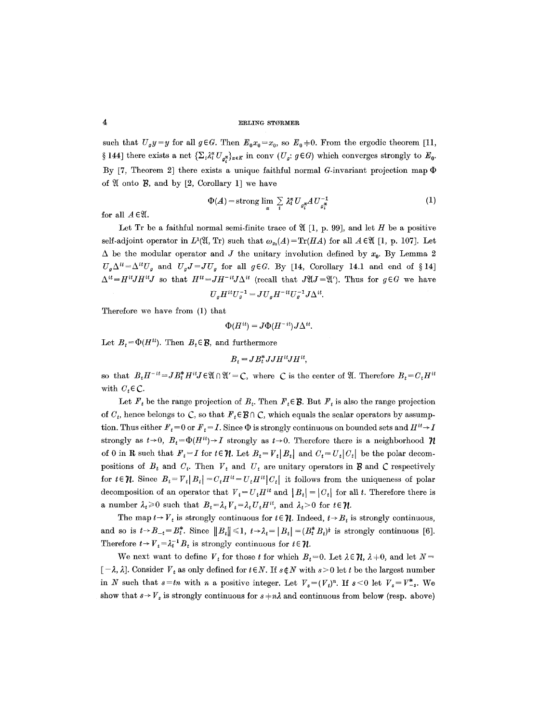#### 4 **ERLING STØRMER**

such that  $U_g y = y$  for all  $g \in G$ . Then  $E_0 x_0 = x_0$ , so  $E_0 \neq 0$ . From the ergodic theorem [11, § 144] there exists a net  $\{\sum_{i} \lambda_i^{\alpha} U_{g_i^{\alpha}}\}_{\alpha \in K}$  in conv  $(U_g: g \in G)$  which converges strongly to  $E_0$ . By [7, Theorem 2] there exists a unique faithful normal G-invariant projection map  $\Phi$ of  $\mathfrak A$  onto  $\mathfrak B$ , and by [2, Corollary 1] we have

$$
\Phi(A) = \text{strong } \lim_{\alpha} \sum_{i} \lambda_i^{\alpha} U_{\sigma_i^{\alpha}} A U_{\sigma_i^{\alpha}}^{-1}
$$
 (1)

for all  $A \in \mathfrak{A}$ .

Let Tr be a faithful normal semi-finite trace of  $\mathfrak{A}$  [1, p. 99], and let H be a positive self-adjoint operator in  $L^1(\mathfrak{A}, \mathrm{Tr})$  such that  $\omega_{x_0}(A) = \mathrm{Tr}(HA)$  for all  $A \in \mathfrak{A}$  [1, p. 107]. Let  $\Delta$  be the modular operator and J the unitary involution defined by  $x_0$ . By Lemma 2  $U_g\Delta^{it}=\Delta^{it}U_g$  and  $U_gJ=JU_g$  for all  $g\in G$ . By [14, Corollary 14.1 and end of § 14]  $\Delta^{it} = H^{it} J H^{it} J$  so that  $H^{it} = J H^{-it} J \Delta^{it}$  (recall that  $J \mathfrak{A} J = \mathfrak{A}'$ ). Thus for  $g \in G$  we have

$$
U_g H^{it} U_g^{-1} = J U_g H^{-it} U_g^{-1} J \Delta^{it}.
$$

Therefore we have from (1) that

$$
\Phi(H^{it}) = J\Phi(H^{-it})J\Delta^{it}.
$$

Let  $B_t = \Phi(H^{it})$ . Then  $B_t \in \mathcal{B}$ , and furthermore

$$
B_t = J B_t^* J J H^{it} J H^{it},
$$

so that  $B_t H^{-it} = J B_t^* H^{it} J \in \mathfrak{A} \cap \mathfrak{A}' = \mathcal{C}$ , where  $\mathcal{C}$  is the center of  $\mathfrak{A}$ . Therefore  $B_t = C_t H^{it}$ with  $C_t \in \mathbb{C}$ .

Let  $F_t$  be the range projection of  $B_t$ . Then  $F_t \in \mathcal{B}$ . But  $F_t$  is also the range projection of  $C_t$ , hence belongs to  $\mathcal{C}$ , so that  $F_t \in \mathcal{B} \cap \mathcal{C}$ , which equals the scalar operators by assumption. Thus either  $F_t = 0$  or  $F_t = I$ . Since  $\Phi$  is strongly continuous on bounded sets and  $H^{it} \rightarrow I$ strongly as  $t\rightarrow 0$ ,  $B_t = \Phi(H^{it}) \rightarrow I$  strongly as  $t\rightarrow 0$ . Therefore there is a neighborhood  $\mathcal{H}$ of 0 in **R** such that  $F_t = I$  for  $t \in \mathcal{H}$ . Let  $B_t = V_t | B_t |$  and  $C_t = U_t | C_t |$  be the polar decompositions of  $B_t$  and  $C_t$ . Then  $V_t$  and  $U_t$  are unitary operators in  $\mathcal B$  and  $\mathcal C$  respectively for  $t \in \mathcal{U}$ . Since  $B_t = V_t[B_t] = C_t H^{it} = U_t H^{it} |C_t|$  it follows from the uniqueness of polar decomposition of an operator that  $V_t = U_t H^{it}$  and  $|B_t| = |C_t|$  for all t. Therefore there is a number  $\lambda_t \geq 0$  such that  $B_t = \lambda_t V_t = \lambda_t U_t H^{it}$ , and  $\lambda_t > 0$  for  $t \in \mathcal{U}$ .

The map  $t \rightarrow V_t$  is strongly continuous for  $t \in \mathcal{U}$ . Indeed,  $t \rightarrow B_t$  is strongly continuous, and so is  $t \rightarrow B_{-t} = B_t^*$ . Since  $||B_t|| \leq 1$ ,  $t \rightarrow \lambda_t = |B_t| = (B_t^* B_t)^{\frac{1}{2}}$  is strongly continuous [6]. Therefore  $t \rightarrow V_t = \lambda_t^{-1} B_t$  is strongly continuous for  $t \in \mathcal{H}$ .

We next want to define  $V_t$  for those t for which  $B_t = 0$ . Let  $\lambda \in \mathcal{H}$ ,  $\lambda \neq 0$ , and let  $N =$  $[-\lambda, \lambda]$ . Consider  $V_t$  as only defined for  $t \in N$ . If  $s \notin N$  with  $s > 0$  let t be the largest number in N such that  $s=tn$  with n a positive integer. Let  $V_s=(V_t)^n$ . If  $s<0$  let  $V_s=V_{-s}^*$ . We show that  $s \rightarrow V_s$  is strongly continuous for  $s + n\lambda$  and continuous from below (resp. above)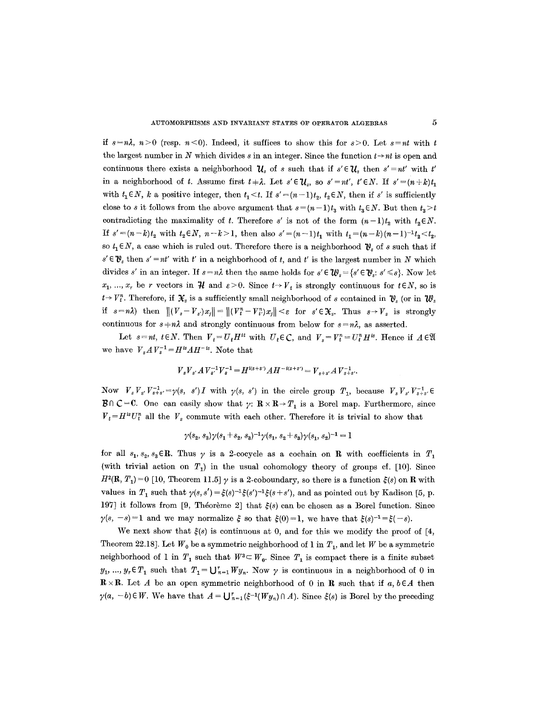if  $s=n\lambda$ ,  $n>0$  (resp.  $n<0$ ). Indeed, it suffices to show this for  $s>0$ . Let  $s=nt$  with t the largest number in  $N$  which divides  $s$  in an integer. Since the function  $t \rightarrow nt$  is open and continuous there exists a neighborhood  $\mathcal{U}_s$  of *s* such that if  $s' \in \mathcal{U}_s$  then  $s' = nt'$  with  $t'$ in a neighborhood of t. Assume first  $t \neq \lambda$ . Let  $s' \in \mathcal{U}_s$ , so  $s' = nt'$ ,  $t' \in N$ . If  $s' = (n+k)t_1$ with  $t_1 \in N$ , *k* a positive integer, then  $t_1 \le t$ . If  $s' = (n-1)t_2$ ,  $t_2 \in N$ , then if *s'* is sufficiently close to s it follows from the above argument that  $s=(n-1)t_3$  with  $t_3\in\mathbb{N}$ . But then  $t_3\geq t$ contradicting the maximality of t. Therefore s' is not of the form  $(n-1)t_2$  with  $t_2 \in N$ . *If*  $s'=(n-k)t_2$  with  $t_2 \in N$ ,  $n-k>1$ , then also  $s'=(n-1)t_1$  with  $t_1=(n-k)(n-1)^{-1}t_2 < t_2$ , so  $t_1 \in N$ , a case which is ruled out. Therefore there is a neighborhood  $\mathcal{V}_s$  of s such that if  $s' \in \mathcal{V}_s$  then  $s' = nt'$  with  $t'$  in a neighborhood of t, and  $t'$  is the largest number in N which divides s' in an integer. If  $s = n\lambda$  then the same holds for  $s' \in \mathcal{W}_s = \{s' \in \mathcal{V}_s: s' \leq s\}$ . Now let  $x_1, ..., x_r$  be r vectors in  $\mathcal{H}$  and  $\varepsilon > 0$ . Since  $t \rightarrow V_t$  is strongly continuous for  $t \in N$ , so is  $t \rightarrow V_t^n$ . Therefore, if  $\mathcal{X}_s$  is a sufficiently small neighborhood of s contained in  $\mathcal{Y}_s$  (or in  $\mathcal{W}_s$ *if*  $s=n\lambda$  then  $||(V_s-V_s)x_j||=||(V_t^n-V_{t}^n)x_j|| < \varepsilon$  for  $s' \in \mathcal{X}_s$ . Thus  $s \to V_s$  is strongly continuous for  $s = n\lambda$  and strongly continuous from below for  $s = n\lambda$ , as asserted.

Let  $s=nt$ ,  $t\in N$ . Then  $V_t=U_tH^{it}$  with  $U_t\in\mathcal{C}$ , and  $V_s=V_t^n=U_t^nH^{is}$ . Hence if  $A\in\mathfrak{A}$ we have  $V_{s}AV_{s}^{-1} = H^{is}AH^{-is}$ . Note that

$$
V_s V_{s'} A V_{s'}^{-1} V_s^{-1} = H^{i(s+s')} A H^{-i(s+s')} = V_{s+s'} A V_{s+s'}^{-1}.
$$

Now  $V_s V_s V_{s+s'}^{-1} = \gamma(s, s') I$  with  $\gamma(s, s')$  in the circle group  $T_1$ , because  $V_s V_{s'} V_{s+s'}^{-1}$ .  $\mathcal{B} \cap \mathcal{C} = \mathbb{C}$ . One can easily show that  $\gamma: \mathbb{R} \times \mathbb{R} \to T_1$  is a Borel map. Furthermore, since  $V_t = H^{is}U_t^n$  all the  $V_s$  commute with each other. Therefore it is trivial to show that

$$
\gamma(s_2,s_3)\gamma(s_1+s_2,s_3)^{-1}\gamma(s_1,s_2+s_3)\gamma(s_1,s_2)^{-1}=1
$$

for all  $s_1, s_2, s_3 \in \mathbb{R}$ . Thus  $\gamma$  is a 2-cocycle as a cochain on R with coefficients in  $T_1$ (with trivial action on  $T_1$ ) in the usual cohomology theory of groups cf. [10]. Since  $H^{2}(\mathbf{R}, T_{1}) = 0$  [10, Theorem 11.5]  $\gamma$  is a 2-coboundary, so there is a function  $\xi(s)$  on **R** with values in  $T_1$  such that  $\gamma(s, s') = \xi(s)^{-1}\xi(s')^{-1}\xi(s+s')$ , and as pointed out by Kadison [5, p. 197] it follows from [9, Théorème 2] that  $\xi(s)$  can be chosen as a Borel function. Since  $\gamma(s, -s)=1$  and we may normalize  $\xi$  so that  $\xi(0)=1$ , we have that  $\xi(s)^{-1}=\xi(-s)$ .

We next show that  $\xi(s)$  is continuous at 0, and for this we modify the proof of [4, Theorem 22.18]. Let  $W_0$  be a symmetric neighborhood of 1 in  $T_1$ , and let W be a symmetric neighborhood of 1 in  $T_1$  such that  $W^3 \subset W_0$ . Since  $T_1$  is compact there is a finite subset  $y_1, ..., y_r \in T_1$  such that  $T_1 = \bigcup_{n=1}^r Wy_n$ . Now  $\gamma$  is continuous in a neighborhood of 0 in  $\mathbb{R} \times \mathbb{R}$ . Let A be an open symmetric neighborhood of 0 in  $\mathbb{R}$  such that if  $a, b \in A$  then  $\gamma(a, -b) \in W$ . We have that  $A = \bigcup_{n=1}^{\infty} (\xi^{-1}(Wy_n) \cap A)$ . Since  $\xi(s)$  is Borel by the preceding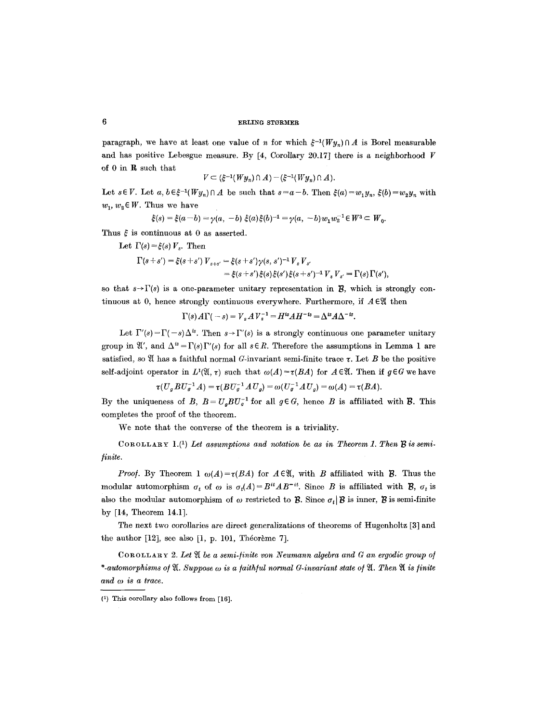# 6 **6 ERLING STØRMER**

paragraph, we have at least one value of *n* for which  $\xi^{-1}(W_{y_n})\cap A$  is Borel measurable and has positive Lebesgue measure. By  $[4,$  Corollary 20.17] there is a neighborhood V of 0 in R such that

$$
V \subset (\xi^{-1}(Wy_n) \cap A) - (\xi^{-1}(Wy_n) \cap A).
$$

Let  $s \in V$ . Let  $a, b \in \xi^{-1}(Wy_n) \cap A$  be such that  $s = a-b$ . Then  $\xi(a) = w_1y_n$ ,  $\xi(b) = w_2y_n$  with  $w_1, w_2 \in W$ . Thus we have

$$
\xi(s) = \xi(a-b) = \gamma(a, -b) \xi(a)\xi(b)^{-1} = \gamma(a, -b) w_1 w_2^{-1} \in W^3 \subset W_0.
$$

Thus  $\xi$  is continuous at 0 as asserted.

Let  $\Gamma(s) = \xi(s) V_s$ . Then

$$
\Gamma(s+s') = \xi(s+s') V_{s+s'} = \xi(s+s') \gamma(s,s')^{-1} V_s V_{s'} \n= \xi(s+s') \xi(s) \xi(s') \xi(s+s')^{-1} V_s V_{s'} = \Gamma(s) \Gamma(s'),
$$

so that  $s \rightarrow \Gamma(s)$  is a one-parameter unitary representation in **B**, which is strongly continuous at 0, hence strongly continuous everywhere. Furthermore, if  $A \in \mathfrak{A}$  then

 $\Gamma(s) A \Gamma(-s) = V_s A V_s^{-1} = H^{is} A H^{-is} = \Delta^{is} A \Delta^{-is}$ .

Let  $\Gamma'(s) = \Gamma(-s) \Delta^{is}$ . Then  $s \to \Gamma'(s)$  is a strongly continuous one parameter unitary group in  $\mathfrak{A}'$ , and  $\Delta^{i s} = \Gamma(s)\Gamma'(s)$  for all  $s \in R$ . Therefore the assumptions in Lemma 1 are satisfied, so  $\mathfrak A$  has a faithful normal G-invariant semi-finite trace  $\tau$ . Let B be the positive self-adjoint operator in  $L^1(\mathfrak{A}, \tau)$  such that  $\omega(A) = \tau(BA)$  for  $A \in \mathfrak{A}$ . Then if  $g \in G$  we have

$$
\tau(U_g B U_g^{-1} A) = \tau(B U_g^{-1} A U_g) = \omega(U_g^{-1} A U_g) = \omega(A) = \tau(BA).
$$

By the uniqueness of *B*,  $B = U_g B U_g^{-1}$  for all  $g \in G$ , hence *B* is affiliated with *B*. This completes the proof of the theorem.

We note that the converse of the theorem is a triviality.

COROLLARY 1.<sup>(1</sup>) Let assumptions and notation be as in Theorem 1. Then  $\ddot{B}$  is semi*finite.* 

*Proof.* By Theorem 1  $\omega(A) = \tau(BA)$  for  $A \in \mathcal{X}$ , with B affiliated with B. Thus the modular automorphism  $\sigma_t$  of  $\omega$  is  $\sigma_t(A) = B^{it}AB^{-it}$ . Since B is affiliated with **B**,  $\sigma_t$  is also the modular automorphism of  $\omega$  restricted to  $\mathcal{B}$ . Since  $\sigma_t | \mathcal{B}$  is inner,  $\mathcal{B}$  is semi-finite by [14, Theorem 14.1].

The next two corollaries are direct generalizations of theorems of Hugenholtz [3] and the author  $[12]$ , see also  $[1, p. 101,$  Théorème 7].

COROLLARY 2. Let  $\mathfrak A$  be a semi-finite von Neumann algebra and G an ergodic group of  $*$ -automorphisms of  $\mathfrak A$ . Suppose  $\omega$  is a faithful normal G-invariant state of  $\mathfrak A$ . Then  $\mathfrak A$  is finite *and co is a trace.* 

<sup>(1)</sup> This corollary also follows from [16].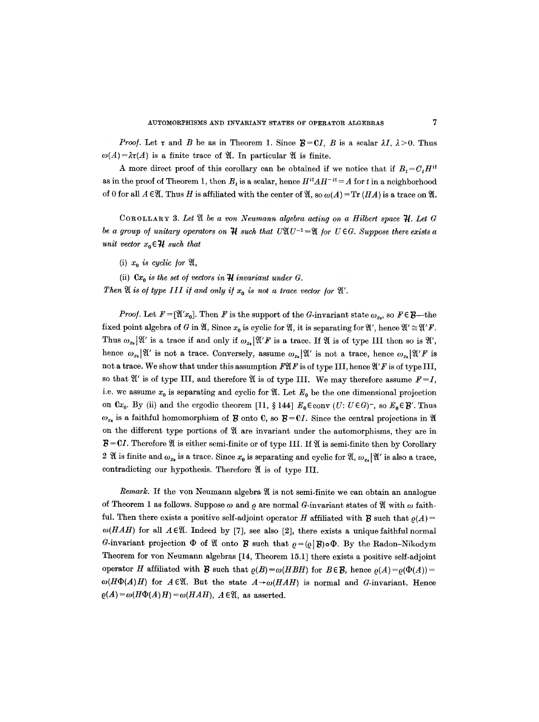*Proof.* Let  $\tau$  and B be as in Theorem 1. Since  $\mathcal{B} = \mathcal{C}I$ , B is a scalar  $\lambda I$ ,  $\lambda > 0$ . Thus  $\omega(A) = \lambda \tau(A)$  is a finite trace of  $\mathfrak{A}$ . In particular  $\mathfrak{A}$  is finite.

A more direct proof of this corollary can be obtained if we notice that if  $B_t = C_t H^{it}$ as in the proof of Theorem 1, then  $B_t$  is a scalar, hence  $H^{it}AH^{-it}=A$  for t in a neighborhood of 0 for all  $A \in \mathfrak{A}$ . Thus H is affiliated with the center of  $\mathfrak{A}$ , so  $\omega(A) = \text{Tr}(HA)$  is a trace on  $\mathfrak{A}$ .

COROLLARY 3. Let  $\mathfrak A$  be a von Neumann algebra acting on a Hilbert space  $\mathfrak A$ . Let G *be a group of unitary operators on*  $\mathcal{H}$  such that  $U\mathfrak{A} U^{-1} = \mathfrak{A}$  for  $U \in G$ . Suppose there exists a *unit vector*  $x_0 \in \mathcal{H}$  *such that* 

- (i)  $x_0$  *is cyclic for*  $\mathfrak{A}$ ,
- (ii)  $Cx_0$  *is the set of vectors in*  $H$  *invariant under G.*
- Then  $\mathfrak A$  is of type III if and only if  $x_0$  is not a trace vector for  $\mathfrak A'$ .

*Proof.* Let  $F = [\mathfrak{A}'x_0]$ . Then F is the support of the G-invariant state  $\omega_{x_0}$ , so  $F \in \mathcal{B}$ -the fixed point algebra of G in  $\mathfrak{A}$ , Since  $x_0$  is cyclic for  $\mathfrak{A}$ , it is separating for  $\mathfrak{A}'$ , hence  $\mathfrak{A}' \cong \mathfrak{A}'F$ . Thus  $\omega_{x_0}|\mathfrak{A}'$  is a trace if and only if  $\omega_{x_0}|\mathfrak{A}'F|$  is a trace. If  $\mathfrak{A}'$  is of type III then so is  $\mathfrak{A}'$ , hence  $\omega_{x_0}|\mathfrak{A}'$  is not a trace. Conversely, assume  $\omega_{x_0}|\mathfrak{A}'$  is not a trace, hence  $\omega_{x_0}|\mathfrak{A}'F$  is not a trace. We show that under this assumption  $\mathbb{P}\mathfrak{A} F$  is of type III, hence  $\mathfrak{A}' F$  is of type III, so that  $\mathfrak{A}'$  is of type III, and therefore  $\mathfrak{A}$  is of type III. We may therefore assume  $F = I$ , i.e. we assume  $x_0$  is separating and cyclic for  $\mathfrak{A}$ . Let  $E_0$  be the one dimensional projection on  $Cx_0$ . By (ii) and the ergodic theorem [11, § 144]  $E_0 \in \text{conv } (U: U \in G)^-$ , so  $E_0 \in \mathcal{B}'$ . Thus  $\omega_{x_0}$  is a faithful homomorphism of **B** onto C, so  $B = CI$ . Since the central projections in  $\mathfrak{A}$ on the different type portions of  $$\mathfrak A$  are invariant under the automorphisms, they are in$  $B = CI$ . Therefore  $\mathfrak A$  is either semi-finite or of type III. If  $\mathfrak A$  is semi-finite then by Corollary 2  $\mathfrak A$  is finite and  $\omega_{x_0}$  is a trace. Since  $x_0$  is separating and cyclic for  $\mathfrak A, \omega_{x_0}|\mathfrak A'$  is also a trace, contradicting our hypothesis. Therefore  $\mathfrak A$  is of type III.

*Remark.* If the yon Neumann algebra 9/is not semi-finite we can obtain an analogue of Theorem 1 as follows. Suppose  $\omega$  and  $\rho$  are normal G-invariant states of  $\mathfrak A$  with  $\omega$  faithful. Then there exists a positive self-adjoint operator H affiliated with  $\mathcal B$  such that  $\rho(A)$  =  $\omega(HAH)$  for all  $A \in \mathfrak{A}$ . Indeed by [7], see also [2], there exists a unique faithful normal G-invariant projection  $\Phi$  of  $\mathfrak A$  onto  $\mathfrak B$  such that  $\varrho=(\varrho\,|\, \mathcal B)\circ\Phi$ . By the Radon-Nikodym Theorem for yon Neumann algebras [14, Theorem 15.1] there exists a positive self-adjoint operator H affiliated with **B** such that  $\rho(B) = \omega(HBH)$  for  $B \in \mathcal{B}$ , hence  $\rho(A) = \rho(\Phi(A))$  $\omega(H\Phi(A)H)$  for  $A\in\mathfrak{A}$ . But the state  $A\rightarrow\omega(HAH)$  is normal and G-invariant. Hence  $\rho(A) = \omega(H\Phi(A)H) = \omega(HAH)$ ,  $A \in \mathfrak{A}$ , as asserted.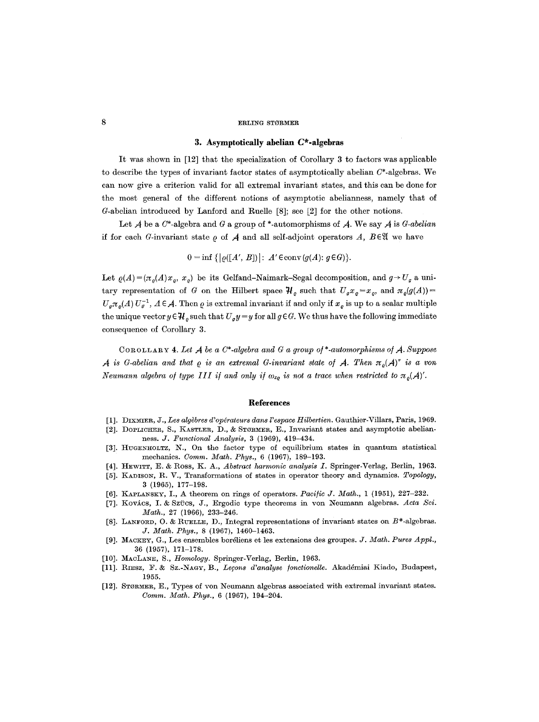## 8 ERLING STØRMER

# **3. Asymptotically abelian C\*-algebras**

It was shown in [12] that the specialization of Corollary 3 to factors was applicable to describe the types of invariant factor states of asymptotically abelian  $C^*$ -algebras. We can now give a criterion valid for all extremal invariant states, and this can be done for the most general of the different notions of asymptotic abelianness, namely that of G-abelian introduced by Lanford and Ruelle [8]; see [2] for the other notions.

Let  $A$  be a  $C^*$ -algebra and  $G$  a group of  $*$ -automorphisms of  $A$ . We say  $A$  is  $G$ -abelian if for each G-invariant state  $\rho$  of  $A$  and all self-adjoint operators A,  $B \in \mathfrak{A}$  we have

 $0 = \inf \{ |\rho([A', B])| : A' \in \text{conv}(g(A); g \in G) \}.$ 

Let  $\rho(A) = (\pi_o(A)x_o, x_o)$  be its Gelfand-Naimark-Segal decomposition, and  $g \rightarrow U_g$  a unitary representation of G on the Hilbert space  $\mathcal{H}_{\rho}$  such that  $U_g x_{\rho} = x_{\rho}$ , and  $\pi_{\rho}(g(A)) =$  $U_g\pi_g(A) U_g^{-1}$ ,  $A \in \mathcal{A}$ . Then  $\varrho$  is extremal invariant if and only if  $x_{\varrho}$  is up to a scalar multiple the unique vector  $y \in \mathcal{H}_\rho$  such that  $U_g y = y$  for all  $g \in G$ . We thus have the following immediate consequence of Corollary 3.

COROLLARY 4. Let  $A$  be a  $C^*$ -algebra and G a group of  $*$ -automorphisms of  $A$ . Suppose *A* is G-abelian and that  $\varrho$  is an extremal G-invariant state of A. Then  $\pi_{\varrho}(A)^{''}$  is a von *Neumann algebra of type III if and only if*  $\omega_{x_Q}$  *is not a trace when restricted to*  $\pi_o(\mathcal{A})'$ .

## **References**

- [1]. DIXMIER, J., Les algèbres d'opérateurs dans l'espace Hilbertien. Gauthier-Villars, Paris, 1969.
- [2]. DOPLICHER, S., KASTLER, D., & STØRMER, E., Invariant states and asymptotic abelianness. *J. Functional Analysis,* 3 (1969), 419-434.
- [3]. HUGENHOLTZ, N., On the factor type of equilibrium states in quantum statistical mechanics. *Comm. Math. Phys.,* 6 (1967), 189-193.
- [4]. I-IEwI~T, E. & ROSS, K. A., *Abstract harmonic analysis I.* Springer-Verlag, Berlin, 1963.
- [5]. KADISON, R. *V.,* Transformations of states in operator theory and dynamics. *Topology,*  3 (1965), 177-198.
- [6]. KAPLANSKY, I., A theorem on rings of operators. *Pacific J. Math.*, 1 (1951), 227-232.
- [7]. Kovács, I. & Szücs, J., Ergodic type theorems in von Neumann algebras. Acta Sci. *Math.,* 27 (1966), 233-246.
- [8]. LANFORD, O. & RUELLE, D., Integral representations of invariant states on  $B^*$ -algebras. *J. Math. Phys.,* 8 (1967), 1460-1463.
- [9]. MACKEY, G., Les ensembles bordlicns ctles extensions des groupes. *J. Math. Pures AppL,*  36 (1957), 171-178.
- [10]. MAcLA~E, S., *Homology.* Springer-Verlag, Berlin, 1963.
- [11]. RIESZ, F. & Sz.-NAGv, B., *Lemons d'analyse ]onctioneUe.* Akaddmiai Kiado, Budapest, 1955.
- [12]. STORMER, E., Types of yon Neumann algebras associated with extremal invariant states. *Comm. Math. Phys.,* 6 (1967), 194-204.